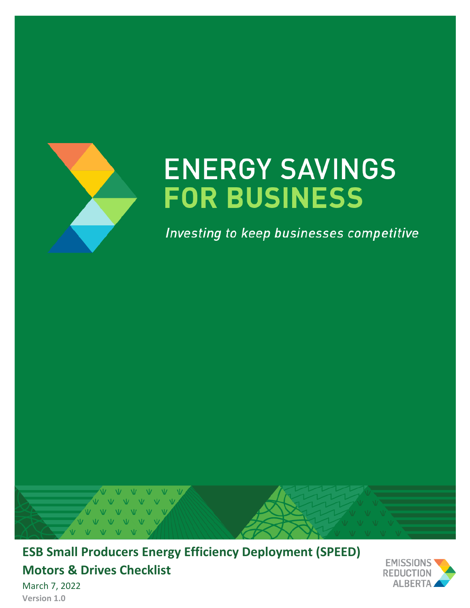

# **ENERGY SAVINGS FOR BUSINESS**

Investing to keep businesses competitive



**ESB Small Producers Energy Efficiency Deployment (SPEED) Motors & Drives Checklist**



March 7, 2022 **Version 1.0**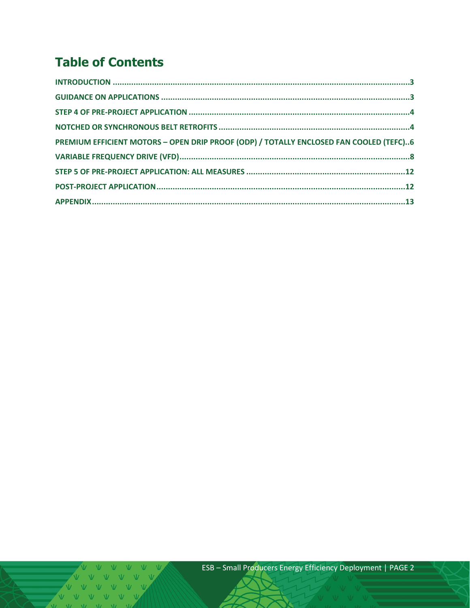# **Table of Contents**

| PREMIUM EFFICIENT MOTORS - OPEN DRIP PROOF (ODP) / TOTALLY ENCLOSED FAN COOLED (TEFC)6 |  |
|----------------------------------------------------------------------------------------|--|
|                                                                                        |  |
|                                                                                        |  |
|                                                                                        |  |
|                                                                                        |  |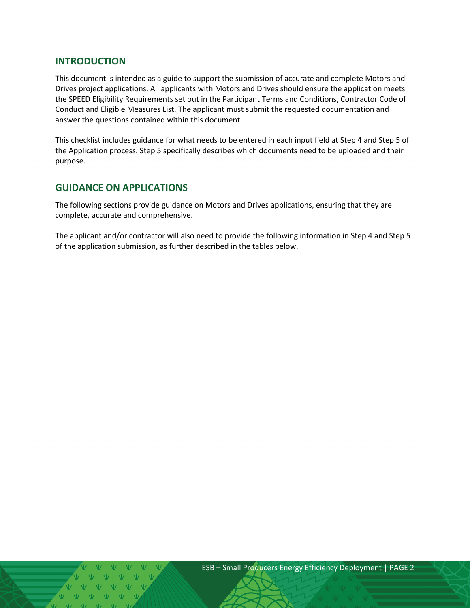## <span id="page-2-0"></span>**INTRODUCTION**

This document is intended as a guide to support the submission of accurate and complete Motors and Drives project applications. All applicants with Motors and Drives should ensure the application meets the SPEED Eligibility Requirements set out in the Participant Terms and Conditions, Contractor Code of Conduct and Eligible Measures List. The applicant must submit the requested documentation and answer the questions contained within this document.

This checklist includes guidance for what needs to be entered in each input field at Step 4 and Step 5 of the Application process. Step 5 specifically describes which documents need to be uploaded and their purpose.

## <span id="page-2-1"></span>**GUIDANCE ON APPLICATIONS**

The following sections provide guidance on Motors and Drives applications, ensuring that they are complete, accurate and comprehensive.

The applicant and/or contractor will also need to provide the following information in Step 4 and Step 5 of the application submission, as further described in the tables below.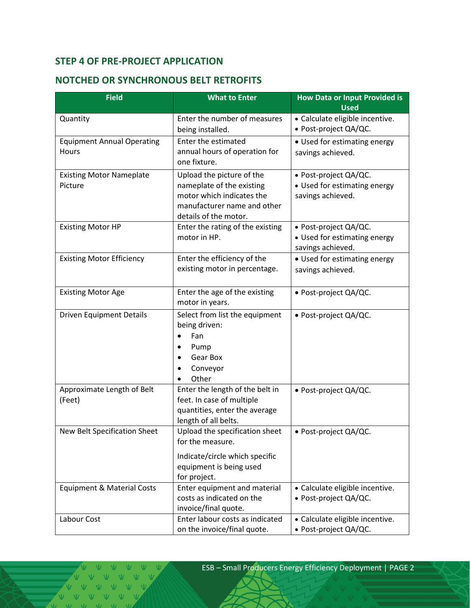# <span id="page-3-0"></span>**STEP 4 OF PRE-PROJECT APPLICATION**

# <span id="page-3-1"></span>**NOTCHED OR SYNCHRONOUS BELT RETROFITS**

| <b>Field</b>                               | <b>What to Enter</b>                                                                                                                        | <b>How Data or Input Provided is</b><br><b>Used</b>                        |
|--------------------------------------------|---------------------------------------------------------------------------------------------------------------------------------------------|----------------------------------------------------------------------------|
| Quantity                                   | Enter the number of measures<br>being installed.                                                                                            | • Calculate eligible incentive.<br>• Post-project QA/QC.                   |
| <b>Equipment Annual Operating</b><br>Hours | Enter the estimated<br>annual hours of operation for<br>one fixture.                                                                        | • Used for estimating energy<br>savings achieved.                          |
| <b>Existing Motor Nameplate</b><br>Picture | Upload the picture of the<br>nameplate of the existing<br>motor which indicates the<br>manufacturer name and other<br>details of the motor. | · Post-project QA/QC.<br>• Used for estimating energy<br>savings achieved. |
| <b>Existing Motor HP</b>                   | Enter the rating of the existing<br>motor in HP.                                                                                            | • Post-project QA/QC.<br>• Used for estimating energy<br>savings achieved. |
| <b>Existing Motor Efficiency</b>           | Enter the efficiency of the<br>existing motor in percentage.                                                                                | • Used for estimating energy<br>savings achieved.                          |
| <b>Existing Motor Age</b>                  | Enter the age of the existing<br>motor in years.                                                                                            | • Post-project QA/QC.                                                      |
| <b>Driven Equipment Details</b>            | Select from list the equipment<br>being driven:<br>Fan<br>Pump<br>٠<br>Gear Box<br>Conveyor<br>Other                                        | · Post-project QA/QC.                                                      |
| Approximate Length of Belt<br>(Feet)       | Enter the length of the belt in<br>feet. In case of multiple<br>quantities, enter the average<br>length of all belts.                       | · Post-project QA/QC.                                                      |
| <b>New Belt Specification Sheet</b>        | Upload the specification sheet<br>for the measure.<br>Indicate/circle which specific<br>equipment is being used                             | • Post-project QA/QC.                                                      |
|                                            | for project.                                                                                                                                |                                                                            |
| Equipment & Material Costs                 | Enter equipment and material<br>costs as indicated on the<br>invoice/final quote.                                                           | • Calculate eligible incentive.<br>· Post-project QA/QC.                   |
| Labour Cost                                | Enter labour costs as indicated<br>on the invoice/final quote.                                                                              | · Calculate eligible incentive.<br>· Post-project QA/QC.                   |

VVVVVVV VVVVV  $V$   $V$  $\overline{M}$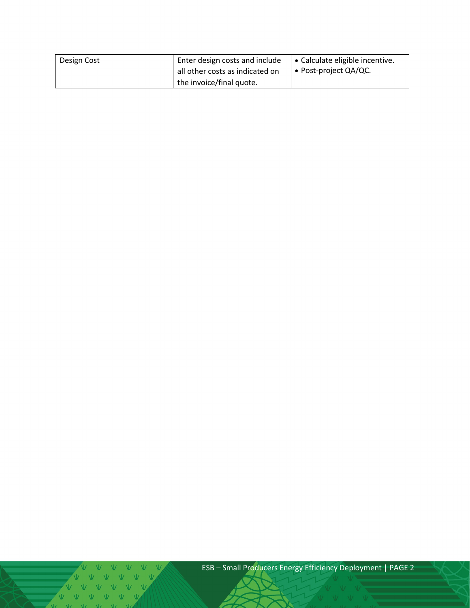| Design Cost | Enter design costs and include  | │ • Calculate eligible incentive. |
|-------------|---------------------------------|-----------------------------------|
|             | all other costs as indicated on | I • Post-project QA/QC.           |
|             | the invoice/final quote.        |                                   |

 $\sqrt{1 - M}$   $\sqrt{2}$   $\sqrt{2}$   $\sqrt{2}$   $\sqrt{2}$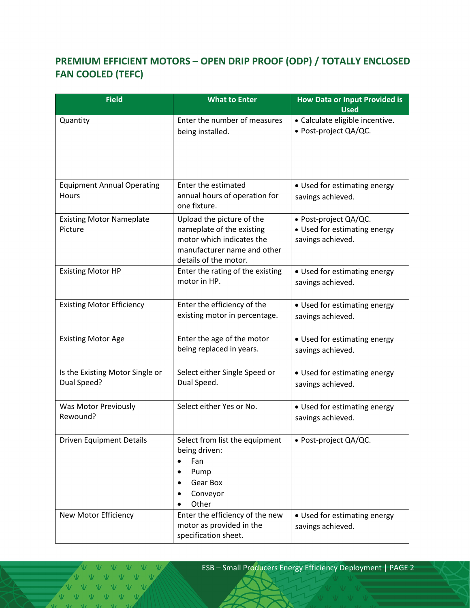# <span id="page-5-0"></span>**PREMIUM EFFICIENT MOTORS – OPEN DRIP PROOF (ODP) / TOTALLY ENCLOSED FAN COOLED (TEFC)**

| <b>Field</b>                                   | <b>What to Enter</b>                                                                                                                        | <b>How Data or Input Provided is</b><br><b>Used</b>                        |
|------------------------------------------------|---------------------------------------------------------------------------------------------------------------------------------------------|----------------------------------------------------------------------------|
| Quantity                                       | Enter the number of measures<br>being installed.                                                                                            | · Calculate eligible incentive.<br>• Post-project QA/QC.                   |
| <b>Equipment Annual Operating</b><br>Hours     | Enter the estimated<br>annual hours of operation for<br>one fixture.                                                                        | • Used for estimating energy<br>savings achieved.                          |
| <b>Existing Motor Nameplate</b><br>Picture     | Upload the picture of the<br>nameplate of the existing<br>motor which indicates the<br>manufacturer name and other<br>details of the motor. | • Post-project QA/QC.<br>• Used for estimating energy<br>savings achieved. |
| <b>Existing Motor HP</b>                       | Enter the rating of the existing<br>motor in HP.                                                                                            | • Used for estimating energy<br>savings achieved.                          |
| <b>Existing Motor Efficiency</b>               | Enter the efficiency of the<br>existing motor in percentage.                                                                                | • Used for estimating energy<br>savings achieved.                          |
| <b>Existing Motor Age</b>                      | Enter the age of the motor<br>being replaced in years.                                                                                      | • Used for estimating energy<br>savings achieved.                          |
| Is the Existing Motor Single or<br>Dual Speed? | Select either Single Speed or<br>Dual Speed.                                                                                                | • Used for estimating energy<br>savings achieved.                          |
| Was Motor Previously<br>Rewound?               | Select either Yes or No.                                                                                                                    | • Used for estimating energy<br>savings achieved.                          |
| <b>Driven Equipment Details</b>                | Select from list the equipment<br>being driven:<br>Fan<br>Pump<br>Gear Box<br>Conveyor<br>Other                                             | • Post-project QA/QC.                                                      |
| New Motor Efficiency                           | Enter the efficiency of the new<br>motor as provided in the<br>specification sheet.                                                         | • Used for estimating energy<br>savings achieved.                          |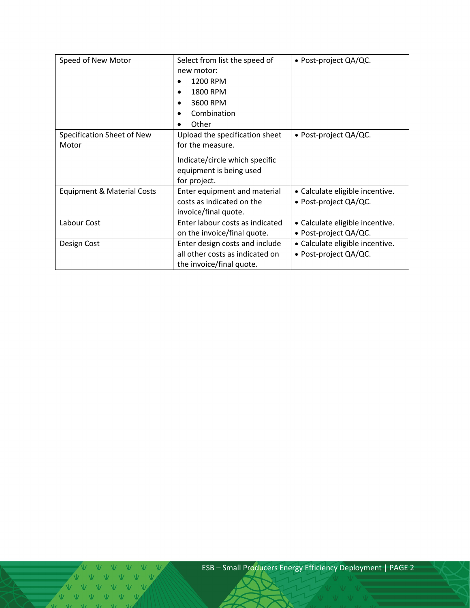| Speed of New Motor                    | Select from list the speed of   | • Post-project QA/QC.           |
|---------------------------------------|---------------------------------|---------------------------------|
|                                       | new motor:                      |                                 |
|                                       | 1200 RPM                        |                                 |
|                                       | 1800 RPM                        |                                 |
|                                       | 3600 RPM                        |                                 |
|                                       | Combination                     |                                 |
|                                       | Other                           |                                 |
| Specification Sheet of New            | Upload the specification sheet  | • Post-project QA/QC.           |
| Motor                                 | for the measure.                |                                 |
|                                       | Indicate/circle which specific  |                                 |
|                                       | equipment is being used         |                                 |
|                                       |                                 |                                 |
|                                       | for project.                    |                                 |
| <b>Equipment &amp; Material Costs</b> | Enter equipment and material    | • Calculate eligible incentive. |
|                                       | costs as indicated on the       | • Post-project QA/QC.           |
|                                       | invoice/final quote.            |                                 |
| Labour Cost                           | Enter labour costs as indicated | • Calculate eligible incentive. |
|                                       | on the invoice/final quote.     | • Post-project QA/QC.           |
| Design Cost                           | Enter design costs and include  | • Calculate eligible incentive. |
|                                       | all other costs as indicated on | • Post-project QA/QC.           |
|                                       | the invoice/final quote.        |                                 |

V V V V V V V V V V V V V  $M = W - W$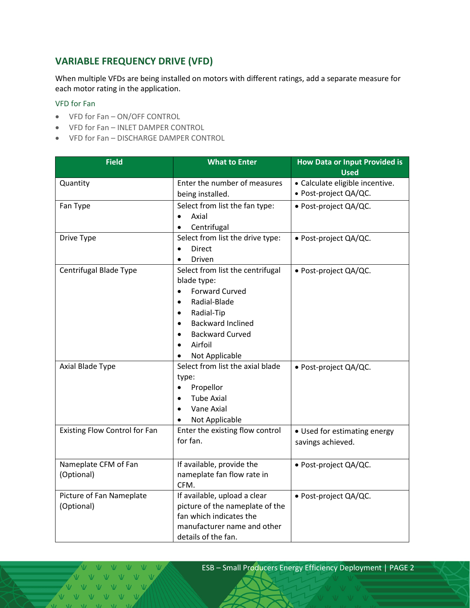# <span id="page-7-0"></span>**VARIABLE FREQUENCY DRIVE (VFD)**

When multiple VFDs are being installed on motors with different ratings, add a separate measure for each motor rating in the application.

#### VFD for Fan

- VFD for Fan ON/OFF CONTROL
- VFD for Fan INLET DAMPER CONTROL
- VFD for Fan DISCHARGE DAMPER CONTROL

| <b>Field</b>                         | <b>What to Enter</b>                  | <b>How Data or Input Provided is</b><br><b>Used</b>      |
|--------------------------------------|---------------------------------------|----------------------------------------------------------|
|                                      |                                       |                                                          |
| Quantity                             | Enter the number of measures          | · Calculate eligible incentive.<br>· Post-project QA/QC. |
|                                      | being installed.                      |                                                          |
| Fan Type                             | Select from list the fan type:        | · Post-project QA/QC.                                    |
|                                      | Axial<br>$\bullet$                    |                                                          |
|                                      | Centrifugal                           |                                                          |
| Drive Type                           | Select from list the drive type:      | · Post-project QA/QC.                                    |
|                                      | <b>Direct</b><br>$\bullet$            |                                                          |
|                                      | Driven                                |                                                          |
| Centrifugal Blade Type               | Select from list the centrifugal      | • Post-project QA/QC.                                    |
|                                      | blade type:                           |                                                          |
|                                      | <b>Forward Curved</b><br>$\bullet$    |                                                          |
|                                      | Radial-Blade<br>$\bullet$             |                                                          |
|                                      | Radial-Tip<br>$\bullet$               |                                                          |
|                                      | <b>Backward Inclined</b><br>$\bullet$ |                                                          |
|                                      | <b>Backward Curved</b><br>٠           |                                                          |
|                                      | Airfoil                               |                                                          |
|                                      | Not Applicable                        |                                                          |
| Axial Blade Type                     | Select from list the axial blade      | · Post-project QA/QC.                                    |
|                                      | type:                                 |                                                          |
|                                      | Propellor<br>$\bullet$                |                                                          |
|                                      | <b>Tube Axial</b>                     |                                                          |
|                                      | Vane Axial                            |                                                          |
|                                      | Not Applicable                        |                                                          |
| <b>Existing Flow Control for Fan</b> | Enter the existing flow control       | • Used for estimating energy                             |
|                                      | for fan.                              | savings achieved.                                        |
|                                      |                                       |                                                          |
| Nameplate CFM of Fan                 | If available, provide the             | • Post-project QA/QC.                                    |
| (Optional)                           | nameplate fan flow rate in            |                                                          |
|                                      | CFM.                                  |                                                          |
| Picture of Fan Nameplate             | If available, upload a clear          | · Post-project QA/QC.                                    |
| (Optional)                           | picture of the nameplate of the       |                                                          |
|                                      | fan which indicates the               |                                                          |
|                                      | manufacturer name and other           |                                                          |
|                                      | details of the fan.                   |                                                          |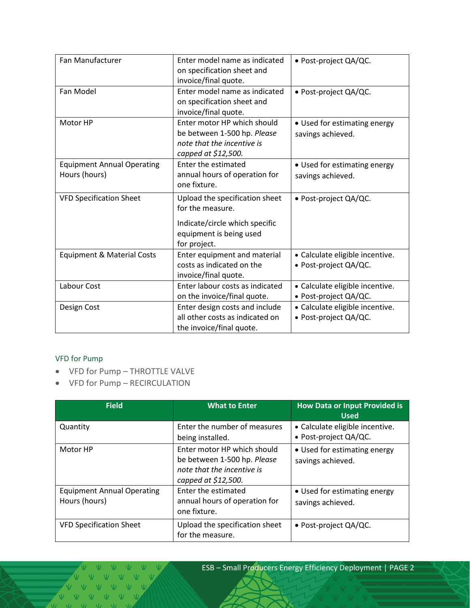| <b>Fan Manufacturer</b>               | Enter model name as indicated   | · Post-project QA/QC.           |
|---------------------------------------|---------------------------------|---------------------------------|
|                                       | on specification sheet and      |                                 |
|                                       | invoice/final quote.            |                                 |
| Fan Model                             | Enter model name as indicated   | · Post-project QA/QC.           |
|                                       | on specification sheet and      |                                 |
|                                       | invoice/final quote.            |                                 |
| Motor HP                              | Enter motor HP which should     | • Used for estimating energy    |
|                                       | be between 1-500 hp. Please     | savings achieved.               |
|                                       | note that the incentive is      |                                 |
|                                       | capped at \$12,500.             |                                 |
| <b>Equipment Annual Operating</b>     | Enter the estimated             | • Used for estimating energy    |
| Hours (hours)                         | annual hours of operation for   | savings achieved.               |
|                                       | one fixture.                    |                                 |
| <b>VFD Specification Sheet</b>        | Upload the specification sheet  | • Post-project QA/QC.           |
|                                       | for the measure.                |                                 |
|                                       | Indicate/circle which specific  |                                 |
|                                       | equipment is being used         |                                 |
|                                       | for project.                    |                                 |
| <b>Equipment &amp; Material Costs</b> | Enter equipment and material    | • Calculate eligible incentive. |
|                                       | costs as indicated on the       | · Post-project QA/QC.           |
|                                       | invoice/final quote.            |                                 |
| Labour Cost                           | Enter labour costs as indicated | • Calculate eligible incentive. |
|                                       | on the invoice/final quote.     | • Post-project QA/QC.           |
| Design Cost                           | Enter design costs and include  | • Calculate eligible incentive. |
|                                       | all other costs as indicated on | • Post-project QA/QC.           |
|                                       | the invoice/final quote.        |                                 |

#### VFD for Pump

- VFD for Pump THROTTLE VALVE
- VFD for Pump RECIRCULATION

| <b>Field</b>                                       | <b>What to Enter</b>                                                                                            | <b>How Data or Input Provided is</b><br><b>Used</b>      |
|----------------------------------------------------|-----------------------------------------------------------------------------------------------------------------|----------------------------------------------------------|
| Quantity                                           | Enter the number of measures<br>being installed.                                                                | • Calculate eligible incentive.<br>• Post-project QA/QC. |
| Motor HP                                           | Enter motor HP which should<br>be between 1-500 hp. Please<br>note that the incentive is<br>capped at \$12,500. | • Used for estimating energy<br>savings achieved.        |
| <b>Equipment Annual Operating</b><br>Hours (hours) | Enter the estimated<br>annual hours of operation for<br>one fixture.                                            | • Used for estimating energy<br>savings achieved.        |
| <b>VFD Specification Sheet</b>                     | Upload the specification sheet<br>for the measure.                                                              | • Post-project QA/QC.                                    |

 $\begin{picture}(180,10) \put(0,0){\dashbox{0.5}(10,0){ }} \put(10,0){\circle{10}} \put(10,0){\circle{10}} \put(10,0){\circle{10}} \put(10,0){\circle{10}} \put(10,0){\circle{10}} \put(10,0){\circle{10}} \put(10,0){\circle{10}} \put(10,0){\circle{10}} \put(10,0){\circle{10}} \put(10,0){\circle{10}} \put(10,0){\circle{10}} \put(10,0){\circle{10}} \put(10,0){\circle{10}} \put(10$ VVVVVVV VVVVVV V V V V V  $\overline{M}$   $\overline{M}$   $\overline{M}$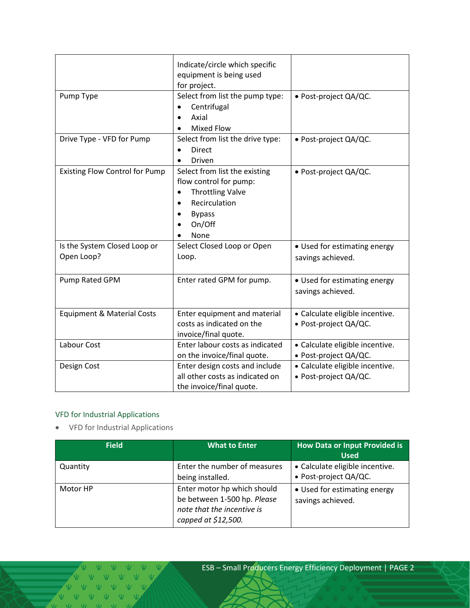|                                            | Indicate/circle which specific<br>equipment is being used<br>for project.                                                                           |                                                          |
|--------------------------------------------|-----------------------------------------------------------------------------------------------------------------------------------------------------|----------------------------------------------------------|
| Pump Type                                  | Select from list the pump type:<br>Centrifugal<br>$\bullet$<br>Axial<br><b>Mixed Flow</b><br>٠                                                      | · Post-project QA/QC.                                    |
| Drive Type - VFD for Pump                  | Select from list the drive type:<br><b>Direct</b><br>Driven                                                                                         | · Post-project QA/QC.                                    |
| <b>Existing Flow Control for Pump</b>      | Select from list the existing<br>flow control for pump:<br><b>Throttling Valve</b><br>$\bullet$<br>Recirculation<br><b>Bypass</b><br>On/Off<br>None | · Post-project QA/QC.                                    |
| Is the System Closed Loop or<br>Open Loop? | Select Closed Loop or Open<br>Loop.                                                                                                                 | • Used for estimating energy<br>savings achieved.        |
| Pump Rated GPM                             | Enter rated GPM for pump.                                                                                                                           | • Used for estimating energy<br>savings achieved.        |
| <b>Equipment &amp; Material Costs</b>      | Enter equipment and material<br>costs as indicated on the<br>invoice/final quote.                                                                   | • Calculate eligible incentive.<br>• Post-project QA/QC. |
| Labour Cost                                | Enter labour costs as indicated<br>on the invoice/final quote.                                                                                      | • Calculate eligible incentive.<br>• Post-project QA/QC. |
| Design Cost                                | Enter design costs and include<br>all other costs as indicated on<br>the invoice/final quote.                                                       | • Calculate eligible incentive.<br>• Post-project QA/QC. |

## VFD for Industrial Applications

• VFD for Industrial Applications

| <b>Field</b> | <b>What to Enter</b>                                                                                            | <b>How Data or Input Provided is</b><br><b>Used</b>      |
|--------------|-----------------------------------------------------------------------------------------------------------------|----------------------------------------------------------|
| Quantity     | Enter the number of measures<br>being installed.                                                                | • Calculate eligible incentive.<br>• Post-project QA/QC. |
| Motor HP     | Enter motor hp which should<br>be between 1-500 hp. Please<br>note that the incentive is<br>capped at \$12,500. | • Used for estimating energy<br>savings achieved.        |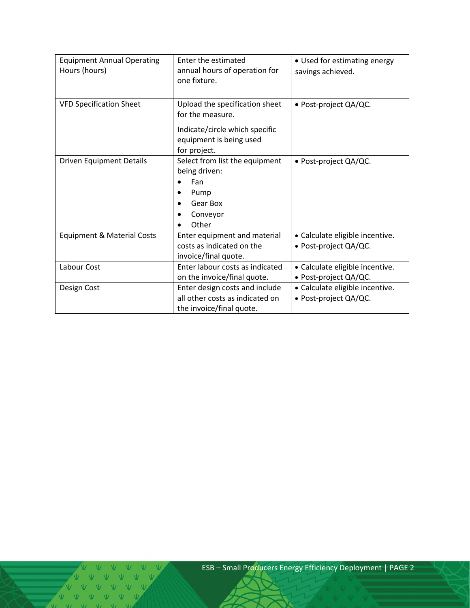| <b>Equipment Annual Operating</b><br>Hours (hours) | Enter the estimated<br>annual hours of operation for<br>one fixture.                                                            | • Used for estimating energy<br>savings achieved.        |
|----------------------------------------------------|---------------------------------------------------------------------------------------------------------------------------------|----------------------------------------------------------|
| <b>VFD Specification Sheet</b>                     | Upload the specification sheet<br>for the measure.<br>Indicate/circle which specific<br>equipment is being used<br>for project. | • Post-project QA/QC.                                    |
| <b>Driven Equipment Details</b>                    | Select from list the equipment<br>being driven:<br>Fan<br>Pump<br>Gear Box<br>Conveyor<br>Other                                 | · Post-project QA/QC.                                    |
| <b>Equipment &amp; Material Costs</b>              | Enter equipment and material<br>costs as indicated on the<br>invoice/final quote.                                               | • Calculate eligible incentive.<br>• Post-project QA/QC. |
| Labour Cost                                        | Enter labour costs as indicated<br>on the invoice/final quote.                                                                  | • Calculate eligible incentive.<br>• Post-project QA/QC. |
| Design Cost                                        | Enter design costs and include<br>all other costs as indicated on<br>the invoice/final quote.                                   | · Calculate eligible incentive.<br>• Post-project QA/QC. |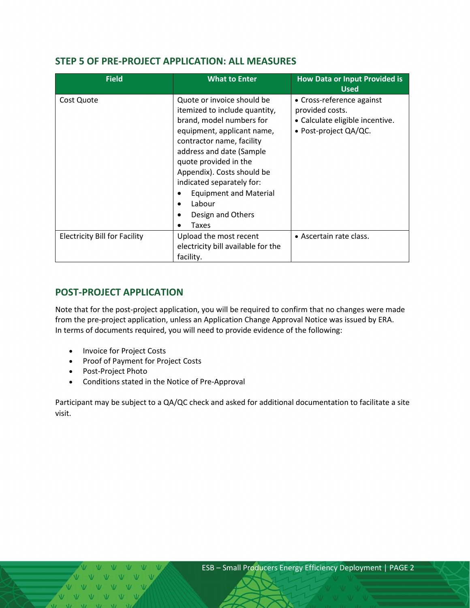## <span id="page-11-0"></span>**STEP 5 OF PRE-PROJECT APPLICATION: ALL MEASURES**

| <b>Field</b>                         | <b>What to Enter</b>                                                                                                                                                                                                                                                                                                                                                       | <b>How Data or Input Provided is</b><br><b>Used</b>                                                      |
|--------------------------------------|----------------------------------------------------------------------------------------------------------------------------------------------------------------------------------------------------------------------------------------------------------------------------------------------------------------------------------------------------------------------------|----------------------------------------------------------------------------------------------------------|
| Cost Quote                           | Quote or invoice should be<br>itemized to include quantity,<br>brand, model numbers for<br>equipment, applicant name,<br>contractor name, facility<br>address and date (Sample<br>quote provided in the<br>Appendix). Costs should be<br>indicated separately for:<br><b>Equipment and Material</b><br>Labour<br>$\bullet$<br>Design and Others<br>$\bullet$<br>Taxes<br>٠ | • Cross-reference against<br>provided costs.<br>• Calculate eligible incentive.<br>• Post-project QA/QC. |
| <b>Electricity Bill for Facility</b> | Upload the most recent<br>electricity bill available for the<br>facility.                                                                                                                                                                                                                                                                                                  | • Ascertain rate class.                                                                                  |

# <span id="page-11-1"></span>**POST-PROJECT APPLICATION**

Note that for the post-project application, you will be required to confirm that no changes were made from the pre-project application, unless an Application Change Approval Notice was issued by ERA. In terms of documents required, you will need to provide evidence of the following:

- Invoice for Project Costs
- Proof of Payment for Project Costs
- Post-Project Photo
- Conditions stated in the Notice of Pre-Approval

Participant may be subject to a QA/QC check and asked for additional documentation to facilitate a site visit.